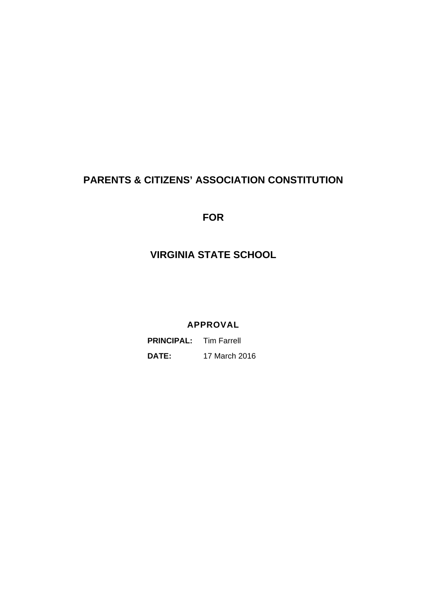# **PARENTS & CITIZENS' ASSOCIATION CONSTITUTION**

**FOR** 

## **VIRGINIA STATE SCHOOL**

**APPROVAL** 

 **PRINCIPAL:** Tim Farrell  **DATE:** 17 March 2016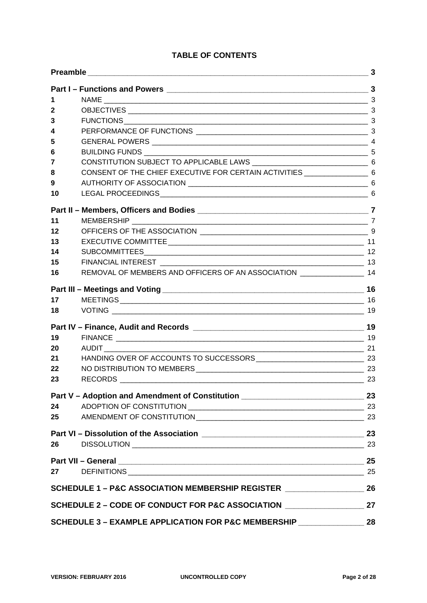## **TABLE OF CONTENTS**

| 1                                                                        |                                                                                      |    |  |  |
|--------------------------------------------------------------------------|--------------------------------------------------------------------------------------|----|--|--|
| 2                                                                        |                                                                                      |    |  |  |
| 3                                                                        |                                                                                      |    |  |  |
| 4                                                                        |                                                                                      |    |  |  |
| 5                                                                        |                                                                                      |    |  |  |
| 6                                                                        |                                                                                      |    |  |  |
| 7                                                                        |                                                                                      |    |  |  |
| 8                                                                        | CONSENT OF THE CHIEF EXECUTIVE FOR CERTAIN ACTIVITIES ___________________________ 6  |    |  |  |
| 9                                                                        |                                                                                      |    |  |  |
| 10                                                                       |                                                                                      |    |  |  |
|                                                                          |                                                                                      |    |  |  |
| 11                                                                       |                                                                                      |    |  |  |
| 12                                                                       |                                                                                      |    |  |  |
| 13                                                                       |                                                                                      |    |  |  |
| 14                                                                       |                                                                                      |    |  |  |
| 15                                                                       |                                                                                      |    |  |  |
| 16                                                                       | REMOVAL OF MEMBERS AND OFFICERS OF AN ASSOCIATION ___________________ 14             |    |  |  |
|                                                                          |                                                                                      |    |  |  |
| 17                                                                       |                                                                                      |    |  |  |
| 18                                                                       |                                                                                      |    |  |  |
|                                                                          |                                                                                      |    |  |  |
| 19                                                                       |                                                                                      |    |  |  |
| 20                                                                       |                                                                                      |    |  |  |
| 21                                                                       |                                                                                      |    |  |  |
| 22                                                                       |                                                                                      |    |  |  |
| 23                                                                       |                                                                                      |    |  |  |
|                                                                          | Part V – Adoption and Amendment of Constitution _________________________________ 23 |    |  |  |
| 24                                                                       |                                                                                      |    |  |  |
| 25                                                                       | AMENDMENT OF CONSTITUTION 23                                                         |    |  |  |
|                                                                          |                                                                                      | 23 |  |  |
| 26                                                                       |                                                                                      |    |  |  |
|                                                                          |                                                                                      |    |  |  |
| 27                                                                       |                                                                                      |    |  |  |
|                                                                          | SCHEDULE 1 - P&C ASSOCIATION MEMBERSHIP REGISTER __________________                  |    |  |  |
| 27<br>SCHEDULE 2 - CODE OF CONDUCT FOR P&C ASSOCIATION _________________ |                                                                                      |    |  |  |
| SCHEDULE 3 - EXAMPLE APPLICATION FOR P&C MEMBERSHIP _____________        |                                                                                      |    |  |  |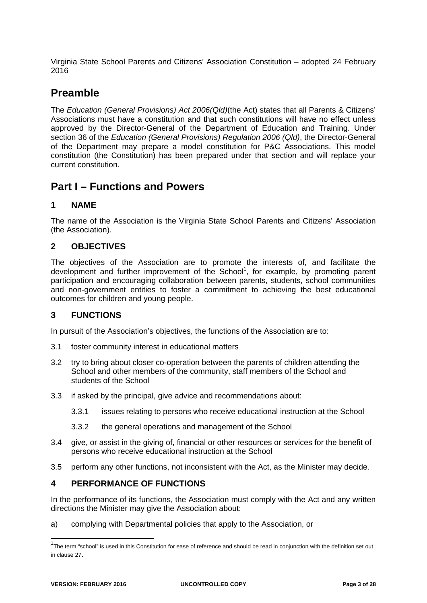Virginia State School Parents and Citizens' Association Constitution – adopted 24 February 2016

## **Preamble**

The *Education (General Provisions) Act 2006(Qld)*(the Act) states that all Parents & Citizens' Associations must have a constitution and that such constitutions will have no effect unless approved by the Director-General of the Department of Education and Training. Under section 36 of the *Education (General Provisions) Regulation 2006 (Qld)*, the Director-General of the Department may prepare a model constitution for P&C Associations. This model constitution (the Constitution) has been prepared under that section and will replace your current constitution.

## **Part I – Functions and Powers**

### **1 NAME**

The name of the Association is the Virginia State School Parents and Citizens' Association (the Association).

### **2 OBJECTIVES**

The objectives of the Association are to promote the interests of, and facilitate the development and further improvement of the School<sup>1</sup>, for example, by promoting parent participation and encouraging collaboration between parents, students, school communities and non-government entities to foster a commitment to achieving the best educational outcomes for children and young people.

## **3 FUNCTIONS**

In pursuit of the Association's objectives, the functions of the Association are to:

- 3.1 foster community interest in educational matters
- 3.2 try to bring about closer co-operation between the parents of children attending the School and other members of the community, staff members of the School and students of the School
- 3.3 if asked by the principal, give advice and recommendations about:
	- 3.3.1 issues relating to persons who receive educational instruction at the School
	- 3.3.2 the general operations and management of the School
- 3.4 give, or assist in the giving of, financial or other resources or services for the benefit of persons who receive educational instruction at the School
- 3.5 perform any other functions, not inconsistent with the Act, as the Minister may decide.

### **4 PERFORMANCE OF FUNCTIONS**

In the performance of its functions, the Association must comply with the Act and any written directions the Minister may give the Association about:

a) complying with Departmental policies that apply to the Association, or

-

<sup>&</sup>lt;sup>1</sup>The term "school" is used in this Constitution for ease of reference and should be read in conjunction with the definition set out in clause 27.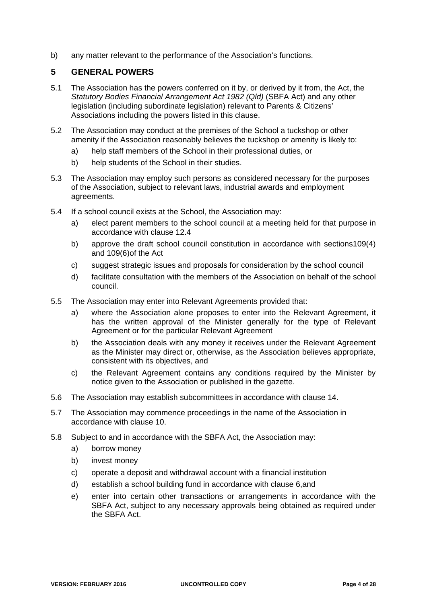b) any matter relevant to the performance of the Association's functions.

### **5 GENERAL POWERS**

- 5.1 The Association has the powers conferred on it by, or derived by it from, the Act, the *Statutory Bodies Financial Arrangement Act 1982 (Qld)* (SBFA Act) and any other legislation (including subordinate legislation) relevant to Parents & Citizens' Associations including the powers listed in this clause.
- 5.2 The Association may conduct at the premises of the School a tuckshop or other amenity if the Association reasonably believes the tuckshop or amenity is likely to:
	- a) help staff members of the School in their professional duties, or
	- b) help students of the School in their studies.
- 5.3 The Association may employ such persons as considered necessary for the purposes of the Association, subject to relevant laws, industrial awards and employment agreements.
- 5.4 If a school council exists at the School, the Association may:
	- a) elect parent members to the school council at a meeting held for that purpose in accordance with clause 12.4
	- b) approve the draft school council constitution in accordance with sections109(4) and 109(6)of the Act
	- c) suggest strategic issues and proposals for consideration by the school council
	- d) facilitate consultation with the members of the Association on behalf of the school council.
- 5.5 The Association may enter into Relevant Agreements provided that:
	- a) where the Association alone proposes to enter into the Relevant Agreement, it has the written approval of the Minister generally for the type of Relevant Agreement or for the particular Relevant Agreement
	- b) the Association deals with any money it receives under the Relevant Agreement as the Minister may direct or, otherwise, as the Association believes appropriate, consistent with its objectives, and
	- c) the Relevant Agreement contains any conditions required by the Minister by notice given to the Association or published in the gazette.
- 5.6 The Association may establish subcommittees in accordance with clause 14.
- 5.7 The Association may commence proceedings in the name of the Association in accordance with clause 10.
- 5.8 Subject to and in accordance with the SBFA Act, the Association may:
	- a) borrow money
	- b) invest money
	- c) operate a deposit and withdrawal account with a financial institution
	- d) establish a school building fund in accordance with clause 6,and
	- e) enter into certain other transactions or arrangements in accordance with the SBFA Act, subject to any necessary approvals being obtained as required under the SBFA Act.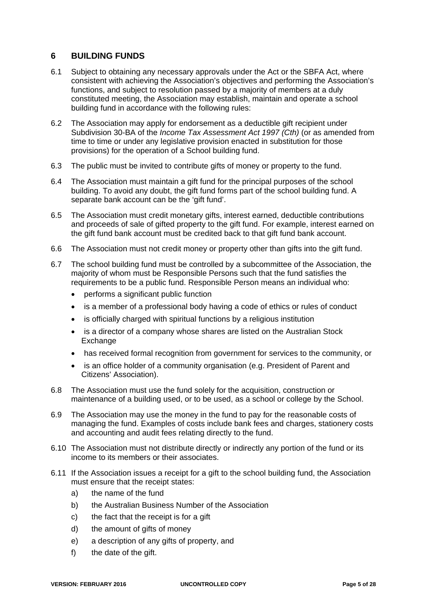## **6 BUILDING FUNDS**

- 6.1 Subject to obtaining any necessary approvals under the Act or the SBFA Act, where consistent with achieving the Association's objectives and performing the Association's functions, and subject to resolution passed by a majority of members at a duly constituted meeting, the Association may establish, maintain and operate a school building fund in accordance with the following rules:
- 6.2 The Association may apply for endorsement as a deductible gift recipient under Subdivision 30-BA of the *Income Tax Assessment Act 1997 (Cth)* (or as amended from time to time or under any legislative provision enacted in substitution for those provisions) for the operation of a School building fund.
- 6.3 The public must be invited to contribute gifts of money or property to the fund.
- 6.4 The Association must maintain a gift fund for the principal purposes of the school building. To avoid any doubt, the gift fund forms part of the school building fund. A separate bank account can be the 'gift fund'.
- 6.5 The Association must credit monetary gifts, interest earned, deductible contributions and proceeds of sale of gifted property to the gift fund. For example, interest earned on the gift fund bank account must be credited back to that gift fund bank account.
- 6.6 The Association must not credit money or property other than gifts into the gift fund.
- 6.7 The school building fund must be controlled by a subcommittee of the Association, the majority of whom must be Responsible Persons such that the fund satisfies the requirements to be a public fund. Responsible Person means an individual who:
	- performs a significant public function
	- is a member of a professional body having a code of ethics or rules of conduct
	- is officially charged with spiritual functions by a religious institution
	- is a director of a company whose shares are listed on the Australian Stock Exchange
	- has received formal recognition from government for services to the community, or
	- is an office holder of a community organisation (e.g. President of Parent and Citizens' Association).
- 6.8 The Association must use the fund solely for the acquisition, construction or maintenance of a building used, or to be used, as a school or college by the School.
- 6.9 The Association may use the money in the fund to pay for the reasonable costs of managing the fund. Examples of costs include bank fees and charges, stationery costs and accounting and audit fees relating directly to the fund.
- 6.10 The Association must not distribute directly or indirectly any portion of the fund or its income to its members or their associates.
- 6.11 If the Association issues a receipt for a gift to the school building fund, the Association must ensure that the receipt states:
	- a) the name of the fund
	- b) the Australian Business Number of the Association
	- c) the fact that the receipt is for a gift
	- d) the amount of gifts of money
	- e) a description of any gifts of property, and
	- f) the date of the gift.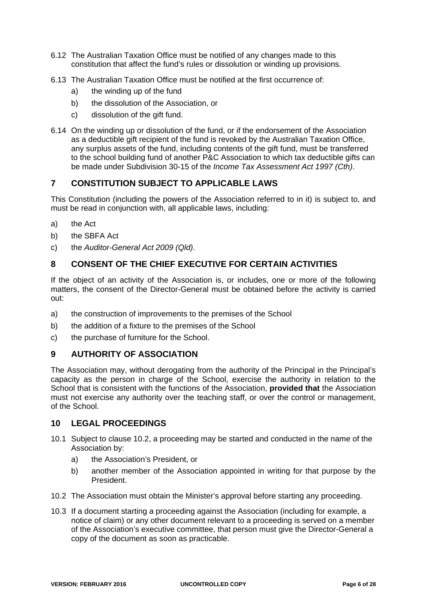- 6.12 The Australian Taxation Office must be notified of any changes made to this constitution that affect the fund's rules or dissolution or winding up provisions.
- 6.13 The Australian Taxation Office must be notified at the first occurrence of:
	- a) the winding up of the fund
	- b) the dissolution of the Association, or
	- c) dissolution of the gift fund.
- 6.14 On the winding up or dissolution of the fund, or if the endorsement of the Association as a deductible gift recipient of the fund is revoked by the Australian Taxation Office, any surplus assets of the fund, including contents of the gift fund, must be transferred to the school building fund of another P&C Association to which tax deductible gifts can be made under Subdivision 30-15 of the *Income Tax Assessment Act 1997 (Cth)*.

## **7 CONSTITUTION SUBJECT TO APPLICABLE LAWS**

This Constitution (including the powers of the Association referred to in it) is subject to, and must be read in conjunction with, all applicable laws, including:

- a) the Act
- b) the SBFA Act
- c) the *Auditor-General Act 2009 (Qld)*.

## **8 CONSENT OF THE CHIEF EXECUTIVE FOR CERTAIN ACTIVITIES**

If the object of an activity of the Association is, or includes, one or more of the following matters, the consent of the Director-General must be obtained before the activity is carried out:

- a) the construction of improvements to the premises of the School
- b) the addition of a fixture to the premises of the School
- c) the purchase of furniture for the School.

## **9 AUTHORITY OF ASSOCIATION**

The Association may, without derogating from the authority of the Principal in the Principal's capacity as the person in charge of the School, exercise the authority in relation to the School that is consistent with the functions of the Association, **provided that** the Association must not exercise any authority over the teaching staff, or over the control or management, of the School.

## **10 LEGAL PROCEEDINGS**

- 10.1 Subject to clause 10.2, a proceeding may be started and conducted in the name of the Association by:
	- a) the Association's President, or
	- b) another member of the Association appointed in writing for that purpose by the President.
- 10.2 The Association must obtain the Minister's approval before starting any proceeding.
- 10.3 If a document starting a proceeding against the Association (including for example, a notice of claim) or any other document relevant to a proceeding is served on a member of the Association's executive committee, that person must give the Director-General a copy of the document as soon as practicable.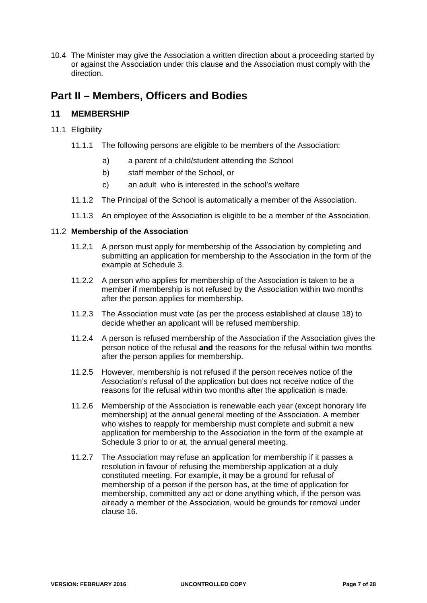10.4 The Minister may give the Association a written direction about a proceeding started by or against the Association under this clause and the Association must comply with the direction.

## **Part II – Members, Officers and Bodies**

## **11 MEMBERSHIP**

- 11.1 Eligibility
	- 11.1.1 The following persons are eligible to be members of the Association:
		- a) a parent of a child/student attending the School
		- b) staff member of the School, or
		- c) an adult who is interested in the school's welfare
	- 11.1.2 The Principal of the School is automatically a member of the Association.
	- 11.1.3 An employee of the Association is eligible to be a member of the Association.

#### 11.2 **Membership of the Association**

- 11.2.1 A person must apply for membership of the Association by completing and submitting an application for membership to the Association in the form of the example at Schedule 3.
- 11.2.2 A person who applies for membership of the Association is taken to be a member if membership is not refused by the Association within two months after the person applies for membership.
- 11.2.3 The Association must vote (as per the process established at clause 18) to decide whether an applicant will be refused membership.
- 11.2.4 A person is refused membership of the Association if the Association gives the person notice of the refusal **and** the reasons for the refusal within two months after the person applies for membership.
- 11.2.5 However, membership is not refused if the person receives notice of the Association's refusal of the application but does not receive notice of the reasons for the refusal within two months after the application is made.
- 11.2.6 Membership of the Association is renewable each year (except honorary life membership) at the annual general meeting of the Association. A member who wishes to reapply for membership must complete and submit a new application for membership to the Association in the form of the example at Schedule 3 prior to or at, the annual general meeting.
- 11.2.7 The Association may refuse an application for membership if it passes a resolution in favour of refusing the membership application at a duly constituted meeting. For example, it may be a ground for refusal of membership of a person if the person has, at the time of application for membership, committed any act or done anything which, if the person was already a member of the Association, would be grounds for removal under clause 16.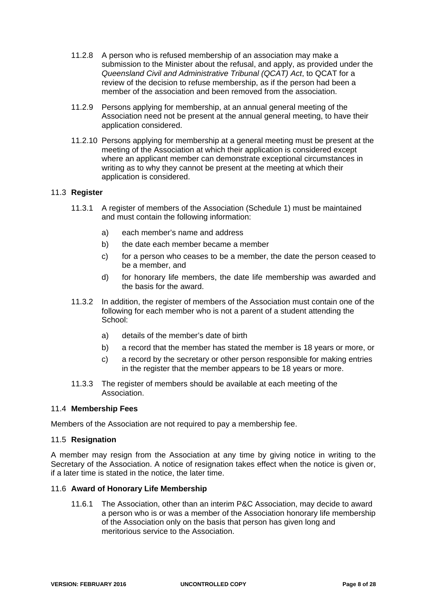- 11.2.8 A person who is refused membership of an association may make a submission to the Minister about the refusal, and apply, as provided under the *Queensland Civil and Administrative Tribunal (QCAT) Act*, to QCAT for a review of the decision to refuse membership, as if the person had been a member of the association and been removed from the association.
- 11.2.9 Persons applying for membership, at an annual general meeting of the Association need not be present at the annual general meeting, to have their application considered.
- 11.2.10 Persons applying for membership at a general meeting must be present at the meeting of the Association at which their application is considered except where an applicant member can demonstrate exceptional circumstances in writing as to why they cannot be present at the meeting at which their application is considered.

#### 11.3 **Register**

- 11.3.1 A register of members of the Association (Schedule 1) must be maintained and must contain the following information:
	- a) each member's name and address
	- b) the date each member became a member
	- c) for a person who ceases to be a member, the date the person ceased to be a member, and
	- d) for honorary life members, the date life membership was awarded and the basis for the award.
- 11.3.2 In addition, the register of members of the Association must contain one of the following for each member who is not a parent of a student attending the School:
	- a) details of the member's date of birth
	- b) a record that the member has stated the member is 18 years or more, or
	- c) a record by the secretary or other person responsible for making entries in the register that the member appears to be 18 years or more.
- 11.3.3 The register of members should be available at each meeting of the Association.

#### 11.4 **Membership Fees**

Members of the Association are not required to pay a membership fee.

#### 11.5 **Resignation**

A member may resign from the Association at any time by giving notice in writing to the Secretary of the Association. A notice of resignation takes effect when the notice is given or, if a later time is stated in the notice, the later time.

#### 11.6 **Award of Honorary Life Membership**

11.6.1 The Association, other than an interim P&C Association, may decide to award a person who is or was a member of the Association honorary life membership of the Association only on the basis that person has given long and meritorious service to the Association.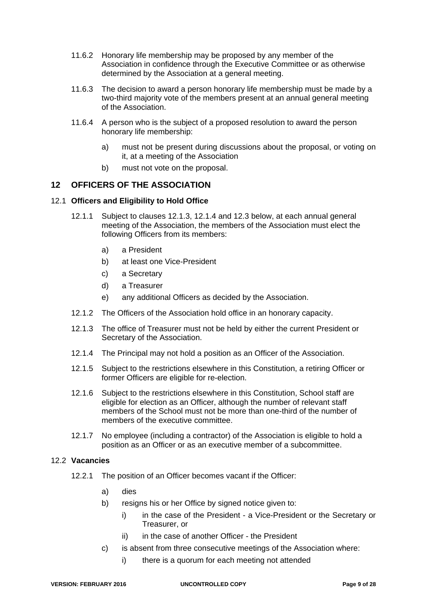- 11.6.2 Honorary life membership may be proposed by any member of the Association in confidence through the Executive Committee or as otherwise determined by the Association at a general meeting.
- 11.6.3 The decision to award a person honorary life membership must be made by a two-third majority vote of the members present at an annual general meeting of the Association.
- 11.6.4 A person who is the subject of a proposed resolution to award the person honorary life membership:
	- a) must not be present during discussions about the proposal, or voting on it, at a meeting of the Association
	- b) must not vote on the proposal.

## **12 OFFICERS OF THE ASSOCIATION**

#### 12.1 **Officers and Eligibility to Hold Office**

- 12.1.1 Subject to clauses 12.1.3, 12.1.4 and 12.3 below, at each annual general meeting of the Association, the members of the Association must elect the following Officers from its members:
	- a) a President
	- b) at least one Vice-President
	- c) a Secretary
	- d) a Treasurer
	- e) any additional Officers as decided by the Association.
- 12.1.2 The Officers of the Association hold office in an honorary capacity.
- 12.1.3 The office of Treasurer must not be held by either the current President or Secretary of the Association.
- 12.1.4 The Principal may not hold a position as an Officer of the Association.
- 12.1.5 Subject to the restrictions elsewhere in this Constitution, a retiring Officer or former Officers are eligible for re-election.
- 12.1.6 Subject to the restrictions elsewhere in this Constitution, School staff are eligible for election as an Officer, although the number of relevant staff members of the School must not be more than one-third of the number of members of the executive committee.
- 12.1.7 No employee (including a contractor) of the Association is eligible to hold a position as an Officer or as an executive member of a subcommittee.

#### 12.2 **Vacancies**

- 12.2.1 The position of an Officer becomes vacant if the Officer:
	- a) dies
	- b) resigns his or her Office by signed notice given to:
		- i) in the case of the President a Vice-President or the Secretary or Treasurer, or
		- ii) in the case of another Officer the President
	- c) is absent from three consecutive meetings of the Association where:
		- i) there is a quorum for each meeting not attended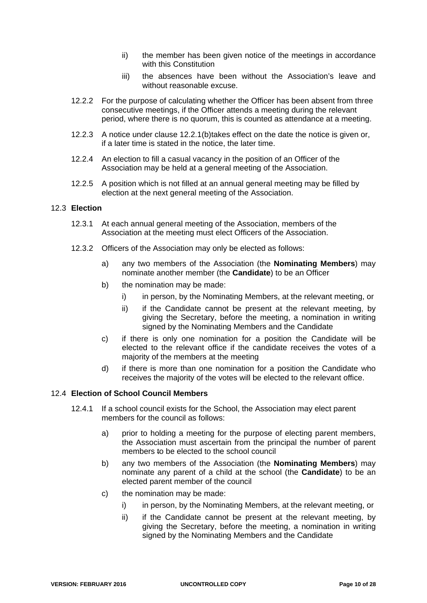- ii) the member has been given notice of the meetings in accordance with this Constitution
- iii) the absences have been without the Association's leave and without reasonable excuse.
- 12.2.2 For the purpose of calculating whether the Officer has been absent from three consecutive meetings, if the Officer attends a meeting during the relevant period, where there is no quorum, this is counted as attendance at a meeting.
- 12.2.3 A notice under clause 12.2.1(b)takes effect on the date the notice is given or, if a later time is stated in the notice, the later time.
- 12.2.4 An election to fill a casual vacancy in the position of an Officer of the Association may be held at a general meeting of the Association.
- 12.2.5 A position which is not filled at an annual general meeting may be filled by election at the next general meeting of the Association.

#### 12.3 **Election**

- 12.3.1 At each annual general meeting of the Association, members of the Association at the meeting must elect Officers of the Association.
- 12.3.2 Officers of the Association may only be elected as follows:
	- a) any two members of the Association (the **Nominating Members**) may nominate another member (the **Candidate**) to be an Officer
	- b) the nomination may be made:
		- i) in person, by the Nominating Members, at the relevant meeting, or
		- ii) if the Candidate cannot be present at the relevant meeting, by giving the Secretary, before the meeting, a nomination in writing signed by the Nominating Members and the Candidate
	- c) if there is only one nomination for a position the Candidate will be elected to the relevant office if the candidate receives the votes of a majority of the members at the meeting
	- d) if there is more than one nomination for a position the Candidate who receives the majority of the votes will be elected to the relevant office.

#### 12.4 **Election of School Council Members**

- 12.4.1 If a school council exists for the School, the Association may elect parent members for the council as follows:
	- a) prior to holding a meeting for the purpose of electing parent members, the Association must ascertain from the principal the number of parent members to be elected to the school council
	- b) any two members of the Association (the **Nominating Members**) may nominate any parent of a child at the school (the **Candidate**) to be an elected parent member of the council
	- c) the nomination may be made:
		- i) in person, by the Nominating Members, at the relevant meeting, or
		- ii) if the Candidate cannot be present at the relevant meeting, by giving the Secretary, before the meeting, a nomination in writing signed by the Nominating Members and the Candidate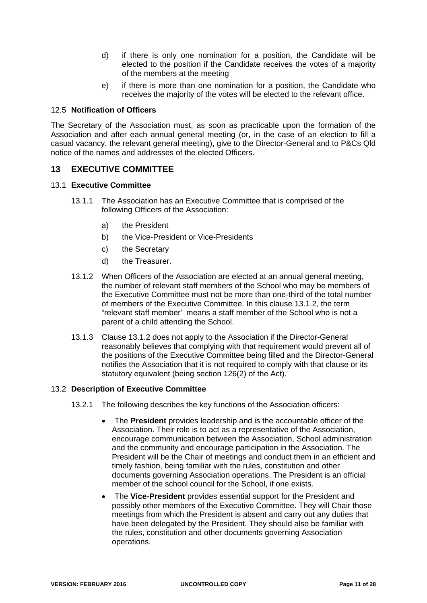- d) if there is only one nomination for a position, the Candidate will be elected to the position if the Candidate receives the votes of a majority of the members at the meeting
- e) if there is more than one nomination for a position, the Candidate who receives the majority of the votes will be elected to the relevant office.

#### 12.5 **Notification of Officers**

The Secretary of the Association must, as soon as practicable upon the formation of the Association and after each annual general meeting (or, in the case of an election to fill a casual vacancy, the relevant general meeting), give to the Director-General and to P&Cs Qld notice of the names and addresses of the elected Officers.

#### **13 EXECUTIVE COMMITTEE**

#### 13.1 **Executive Committee**

- 13.1.1 The Association has an Executive Committee that is comprised of the following Officers of the Association:
	- a) the President
	- b) the Vice-President or Vice-Presidents
	- c) the Secretary
	- d) the Treasurer.
- 13.1.2 When Officers of the Association are elected at an annual general meeting, the number of relevant staff members of the School who may be members of the Executive Committee must not be more than one-third of the total number of members of the Executive Committee. In this clause 13.1.2, the term "relevant staff member' means a staff member of the School who is not a parent of a child attending the School.
- 13.1.3 Clause 13.1.2 does not apply to the Association if the Director-General reasonably believes that complying with that requirement would prevent all of the positions of the Executive Committee being filled and the Director-General notifies the Association that it is not required to comply with that clause or its statutory equivalent (being section 126(2) of the Act).

#### 13.2 **Description of Executive Committee**

- 13.2.1 The following describes the key functions of the Association officers:
	- The **President** provides leadership and is the accountable officer of the Association. Their role is to act as a representative of the Association, encourage communication between the Association, School administration and the community and encourage participation in the Association. The President will be the Chair of meetings and conduct them in an efficient and timely fashion, being familiar with the rules, constitution and other documents governing Association operations. The President is an official member of the school council for the School, if one exists.
	- The **Vice-President** provides essential support for the President and possibly other members of the Executive Committee. They will Chair those meetings from which the President is absent and carry out any duties that have been delegated by the President. They should also be familiar with the rules, constitution and other documents governing Association operations.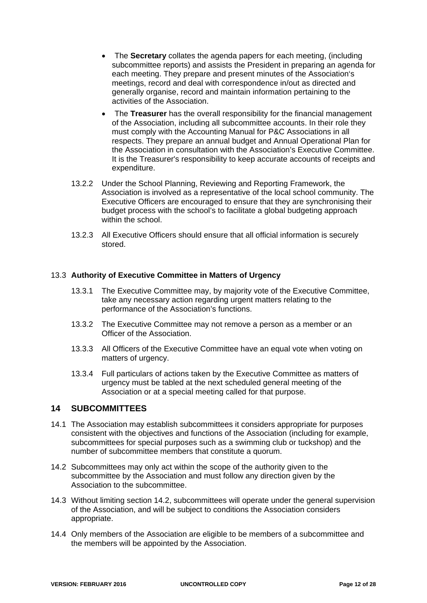- The **Secretary** collates the agenda papers for each meeting, (including subcommittee reports) and assists the President in preparing an agenda for each meeting. They prepare and present minutes of the Association's meetings, record and deal with correspondence in/out as directed and generally organise, record and maintain information pertaining to the activities of the Association.
- The **Treasurer** has the overall responsibility for the financial management of the Association, including all subcommittee accounts. In their role they must comply with the Accounting Manual for P&C Associations in all respects. They prepare an annual budget and Annual Operational Plan for the Association in consultation with the Association's Executive Committee. It is the Treasurer's responsibility to keep accurate accounts of receipts and expenditure.
- 13.2.2 Under the School Planning, Reviewing and Reporting Framework, the Association is involved as a representative of the local school community. The Executive Officers are encouraged to ensure that they are synchronising their budget process with the school's to facilitate a global budgeting approach within the school.
- 13.2.3 All Executive Officers should ensure that all official information is securely stored.

#### 13.3 **Authority of Executive Committee in Matters of Urgency**

- 13.3.1 The Executive Committee may, by majority vote of the Executive Committee, take any necessary action regarding urgent matters relating to the performance of the Association's functions.
- 13.3.2 The Executive Committee may not remove a person as a member or an Officer of the Association.
- 13.3.3 All Officers of the Executive Committee have an equal vote when voting on matters of urgency.
- 13.3.4 Full particulars of actions taken by the Executive Committee as matters of urgency must be tabled at the next scheduled general meeting of the Association or at a special meeting called for that purpose.

## **14 SUBCOMMITTEES**

- 14.1 The Association may establish subcommittees it considers appropriate for purposes consistent with the objectives and functions of the Association (including for example, subcommittees for special purposes such as a swimming club or tuckshop) and the number of subcommittee members that constitute a quorum.
- 14.2 Subcommittees may only act within the scope of the authority given to the subcommittee by the Association and must follow any direction given by the Association to the subcommittee.
- 14.3 Without limiting section 14.2, subcommittees will operate under the general supervision of the Association, and will be subject to conditions the Association considers appropriate.
- 14.4 Only members of the Association are eligible to be members of a subcommittee and the members will be appointed by the Association.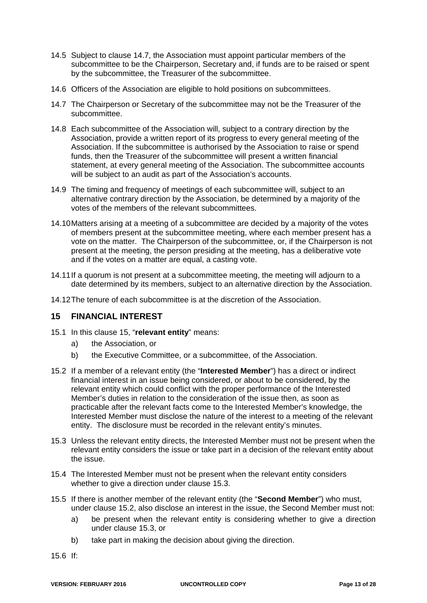- 14.5 Subject to clause 14.7, the Association must appoint particular members of the subcommittee to be the Chairperson, Secretary and, if funds are to be raised or spent by the subcommittee, the Treasurer of the subcommittee.
- 14.6 Officers of the Association are eligible to hold positions on subcommittees.
- 14.7 The Chairperson or Secretary of the subcommittee may not be the Treasurer of the subcommittee.
- 14.8 Each subcommittee of the Association will, subject to a contrary direction by the Association, provide a written report of its progress to every general meeting of the Association. If the subcommittee is authorised by the Association to raise or spend funds, then the Treasurer of the subcommittee will present a written financial statement, at every general meeting of the Association. The subcommittee accounts will be subject to an audit as part of the Association's accounts.
- 14.9 The timing and frequency of meetings of each subcommittee will, subject to an alternative contrary direction by the Association, be determined by a majority of the votes of the members of the relevant subcommittees.
- 14.10 Matters arising at a meeting of a subcommittee are decided by a majority of the votes of members present at the subcommittee meeting, where each member present has a vote on the matter. The Chairperson of the subcommittee, or, if the Chairperson is not present at the meeting, the person presiding at the meeting, has a deliberative vote and if the votes on a matter are equal, a casting vote.
- 14.11 If a quorum is not present at a subcommittee meeting, the meeting will adjourn to a date determined by its members, subject to an alternative direction by the Association.
- 14.12 The tenure of each subcommittee is at the discretion of the Association.

#### **15 FINANCIAL INTEREST**

- 15.1 In this clause 15, "**relevant entity**" means:
	- a) the Association, or
	- b) the Executive Committee, or a subcommittee, of the Association.
- 15.2 If a member of a relevant entity (the "**Interested Member**") has a direct or indirect financial interest in an issue being considered, or about to be considered, by the relevant entity which could conflict with the proper performance of the Interested Member's duties in relation to the consideration of the issue then, as soon as practicable after the relevant facts come to the Interested Member's knowledge, the Interested Member must disclose the nature of the interest to a meeting of the relevant entity. The disclosure must be recorded in the relevant entity's minutes.
- 15.3 Unless the relevant entity directs, the Interested Member must not be present when the relevant entity considers the issue or take part in a decision of the relevant entity about the issue.
- 15.4 The Interested Member must not be present when the relevant entity considers whether to give a direction under clause 15.3.
- 15.5 If there is another member of the relevant entity (the "**Second Member**") who must, under clause 15.2, also disclose an interest in the issue, the Second Member must not:
	- a) be present when the relevant entity is considering whether to give a direction under clause 15.3, or
	- b) take part in making the decision about giving the direction.
- 15.6 If: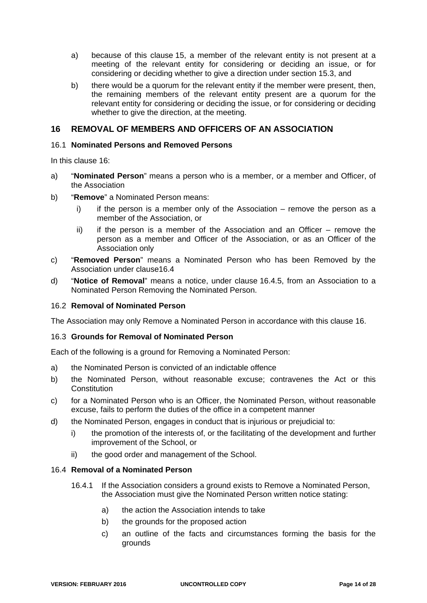- a) because of this clause 15, a member of the relevant entity is not present at a meeting of the relevant entity for considering or deciding an issue, or for considering or deciding whether to give a direction under section 15.3, and
- b) there would be a quorum for the relevant entity if the member were present, then, the remaining members of the relevant entity present are a quorum for the relevant entity for considering or deciding the issue, or for considering or deciding whether to give the direction, at the meeting.

### **16 REMOVAL OF MEMBERS AND OFFICERS OF AN ASSOCIATION**

#### 16.1 **Nominated Persons and Removed Persons**

In this clause 16:

- a) "**Nominated Person**" means a person who is a member, or a member and Officer, of the Association
- b) "**Remove**" a Nominated Person means:
	- i) if the person is a member only of the Association remove the person as a member of the Association, or
	- ii) if the person is a member of the Association and an Officer remove the person as a member and Officer of the Association, or as an Officer of the Association only
- c) "**Removed Person**" means a Nominated Person who has been Removed by the Association under clause16.4
- d) "**Notice of Removal**" means a notice, under clause 16.4.5, from an Association to a Nominated Person Removing the Nominated Person.

#### 16.2 **Removal of Nominated Person**

The Association may only Remove a Nominated Person in accordance with this clause 16.

#### 16.3 **Grounds for Removal of Nominated Person**

Each of the following is a ground for Removing a Nominated Person:

- a) the Nominated Person is convicted of an indictable offence
- b) the Nominated Person, without reasonable excuse; contravenes the Act or this **Constitution**
- c) for a Nominated Person who is an Officer, the Nominated Person, without reasonable excuse, fails to perform the duties of the office in a competent manner
- d) the Nominated Person, engages in conduct that is injurious or prejudicial to:
	- i) the promotion of the interests of, or the facilitating of the development and further improvement of the School, or
	- ii) the good order and management of the School.

#### 16.4 **Removal of a Nominated Person**

- 16.4.1 If the Association considers a ground exists to Remove a Nominated Person, the Association must give the Nominated Person written notice stating:
	- a) the action the Association intends to take
	- b) the grounds for the proposed action
	- c) an outline of the facts and circumstances forming the basis for the grounds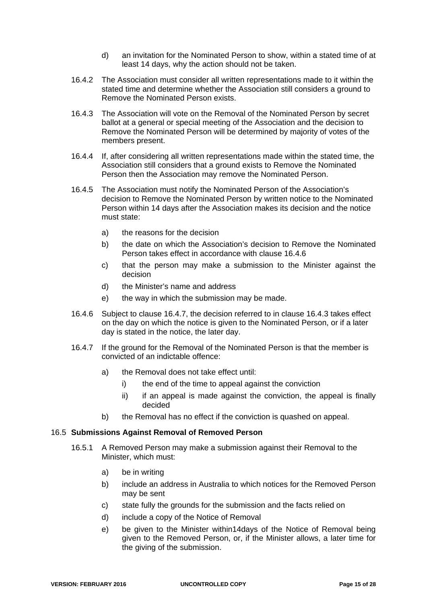- d) an invitation for the Nominated Person to show, within a stated time of at least 14 days, why the action should not be taken.
- 16.4.2 The Association must consider all written representations made to it within the stated time and determine whether the Association still considers a ground to Remove the Nominated Person exists.
- 16.4.3 The Association will vote on the Removal of the Nominated Person by secret ballot at a general or special meeting of the Association and the decision to Remove the Nominated Person will be determined by majority of votes of the members present.
- 16.4.4 If, after considering all written representations made within the stated time, the Association still considers that a ground exists to Remove the Nominated Person then the Association may remove the Nominated Person.
- 16.4.5 The Association must notify the Nominated Person of the Association's decision to Remove the Nominated Person by written notice to the Nominated Person within 14 days after the Association makes its decision and the notice must state:
	- a) the reasons for the decision
	- b) the date on which the Association's decision to Remove the Nominated Person takes effect in accordance with clause 16.4.6
	- c) that the person may make a submission to the Minister against the decision
	- d) the Minister's name and address
	- e) the way in which the submission may be made.
- 16.4.6 Subject to clause 16.4.7, the decision referred to in clause 16.4.3 takes effect on the day on which the notice is given to the Nominated Person, or if a later day is stated in the notice, the later day.
- 16.4.7 If the ground for the Removal of the Nominated Person is that the member is convicted of an indictable offence:
	- a) the Removal does not take effect until:
		- i) the end of the time to appeal against the conviction
		- ii) if an appeal is made against the conviction, the appeal is finally decided
	- b) the Removal has no effect if the conviction is quashed on appeal.

#### 16.5 **Submissions Against Removal of Removed Person**

- 16.5.1 A Removed Person may make a submission against their Removal to the Minister, which must:
	- a) be in writing
	- b) include an address in Australia to which notices for the Removed Person may be sent
	- c) state fully the grounds for the submission and the facts relied on
	- d) include a copy of the Notice of Removal
	- e) be given to the Minister within14days of the Notice of Removal being given to the Removed Person, or, if the Minister allows, a later time for the giving of the submission.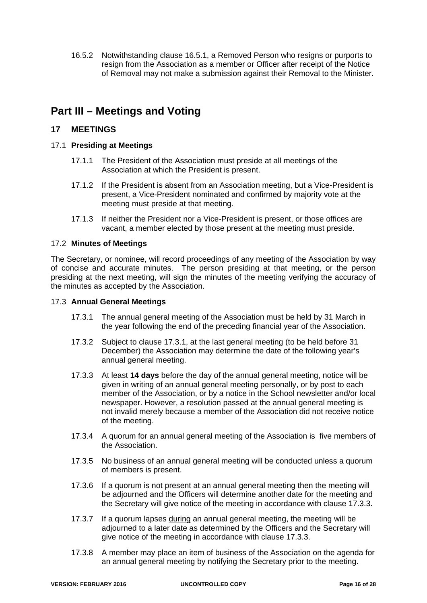16.5.2 Notwithstanding clause 16.5.1, a Removed Person who resigns or purports to resign from the Association as a member or Officer after receipt of the Notice of Removal may not make a submission against their Removal to the Minister.

# **Part III – Meetings and Voting**

## **17 MEETINGS**

#### 17.1 **Presiding at Meetings**

- 17.1.1 The President of the Association must preside at all meetings of the Association at which the President is present.
- 17.1.2 If the President is absent from an Association meeting, but a Vice-President is present, a Vice-President nominated and confirmed by majority vote at the meeting must preside at that meeting.
- 17.1.3 If neither the President nor a Vice-President is present, or those offices are vacant, a member elected by those present at the meeting must preside.

#### 17.2 **Minutes of Meetings**

The Secretary, or nominee, will record proceedings of any meeting of the Association by way of concise and accurate minutes. The person presiding at that meeting, or the person presiding at the next meeting, will sign the minutes of the meeting verifying the accuracy of the minutes as accepted by the Association.

#### 17.3 **Annual General Meetings**

- 17.3.1 The annual general meeting of the Association must be held by 31 March in the year following the end of the preceding financial year of the Association.
- 17.3.2 Subject to clause 17.3.1, at the last general meeting (to be held before 31 December) the Association may determine the date of the following year's annual general meeting.
- 17.3.3 At least **14 days** before the day of the annual general meeting, notice will be given in writing of an annual general meeting personally, or by post to each member of the Association, or by a notice in the School newsletter and/or local newspaper. However, a resolution passed at the annual general meeting is not invalid merely because a member of the Association did not receive notice of the meeting.
- 17.3.4 A quorum for an annual general meeting of the Association is five members of the Association.
- 17.3.5 No business of an annual general meeting will be conducted unless a quorum of members is present.
- 17.3.6 If a quorum is not present at an annual general meeting then the meeting will be adjourned and the Officers will determine another date for the meeting and the Secretary will give notice of the meeting in accordance with clause 17.3.3.
- 17.3.7 If a quorum lapses during an annual general meeting, the meeting will be adjourned to a later date as determined by the Officers and the Secretary will give notice of the meeting in accordance with clause 17.3.3.
- 17.3.8 A member may place an item of business of the Association on the agenda for an annual general meeting by notifying the Secretary prior to the meeting.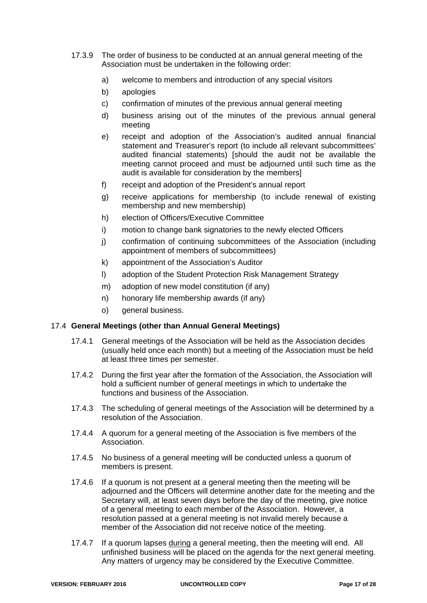- 17.3.9 The order of business to be conducted at an annual general meeting of the Association must be undertaken in the following order:
	- a) welcome to members and introduction of any special visitors
	- b) apologies
	- c) confirmation of minutes of the previous annual general meeting
	- d) business arising out of the minutes of the previous annual general meeting
	- e) receipt and adoption of the Association's audited annual financial statement and Treasurer's report (to include all relevant subcommittees' audited financial statements) [should the audit not be available the meeting cannot proceed and must be adjourned until such time as the audit is available for consideration by the members]
	- f) receipt and adoption of the President's annual report
	- g) receive applications for membership (to include renewal of existing membership and new membership)
	- h) election of Officers/Executive Committee
	- i) motion to change bank signatories to the newly elected Officers
	- j) confirmation of continuing subcommittees of the Association (including appointment of members of subcommittees)
	- k) appointment of the Association's Auditor
	- l) adoption of the Student Protection Risk Management Strategy
	- m) adoption of new model constitution (if any)
	- n) honorary life membership awards (if any)
	- o) general business.

#### 17.4 **General Meetings (other than Annual General Meetings)**

- 17.4.1 General meetings of the Association will be held as the Association decides (usually held once each month) but a meeting of the Association must be held at least three times per semester.
- 17.4.2 During the first year after the formation of the Association, the Association will hold a sufficient number of general meetings in which to undertake the functions and business of the Association.
- 17.4.3 The scheduling of general meetings of the Association will be determined by a resolution of the Association.
- 17.4.4 A quorum for a general meeting of the Association is five members of the Association.
- 17.4.5 No business of a general meeting will be conducted unless a quorum of members is present.
- 17.4.6 If a quorum is not present at a general meeting then the meeting will be adjourned and the Officers will determine another date for the meeting and the Secretary will, at least seven days before the day of the meeting, give notice of a general meeting to each member of the Association. However, a resolution passed at a general meeting is not invalid merely because a member of the Association did not receive notice of the meeting.
- 17.4.7 If a quorum lapses during a general meeting, then the meeting will end. All unfinished business will be placed on the agenda for the next general meeting. Any matters of urgency may be considered by the Executive Committee.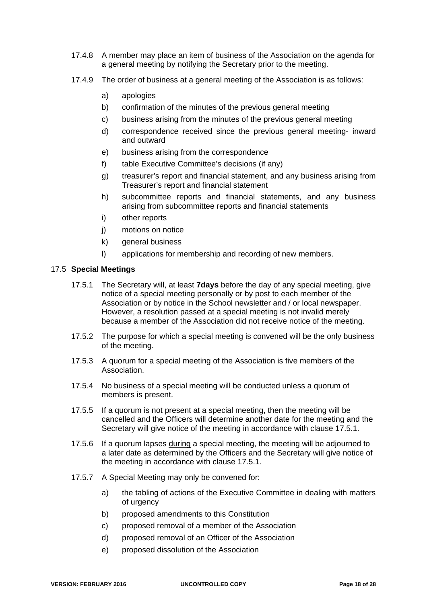- 17.4.8 A member may place an item of business of the Association on the agenda for a general meeting by notifying the Secretary prior to the meeting.
- 17.4.9 The order of business at a general meeting of the Association is as follows:
	- a) apologies
	- b) confirmation of the minutes of the previous general meeting
	- c) business arising from the minutes of the previous general meeting
	- d) correspondence received since the previous general meeting- inward and outward
	- e) business arising from the correspondence
	- f) table Executive Committee's decisions (if any)
	- g) treasurer's report and financial statement, and any business arising from Treasurer's report and financial statement
	- h) subcommittee reports and financial statements, and any business arising from subcommittee reports and financial statements
	- i) other reports
	- j) motions on notice
	- k) general business
	- l) applications for membership and recording of new members.

#### 17.5 **Special Meetings**

- 17.5.1 The Secretary will, at least **7days** before the day of any special meeting, give notice of a special meeting personally or by post to each member of the Association or by notice in the School newsletter and / or local newspaper. However, a resolution passed at a special meeting is not invalid merely because a member of the Association did not receive notice of the meeting.
- 17.5.2 The purpose for which a special meeting is convened will be the only business of the meeting.
- 17.5.3 A quorum for a special meeting of the Association is five members of the Association.
- 17.5.4 No business of a special meeting will be conducted unless a quorum of members is present.
- 17.5.5 If a quorum is not present at a special meeting, then the meeting will be cancelled and the Officers will determine another date for the meeting and the Secretary will give notice of the meeting in accordance with clause 17.5.1.
- 17.5.6 If a quorum lapses during a special meeting, the meeting will be adjourned to a later date as determined by the Officers and the Secretary will give notice of the meeting in accordance with clause 17.5.1.
- 17.5.7 A Special Meeting may only be convened for:
	- a) the tabling of actions of the Executive Committee in dealing with matters of urgency
	- b) proposed amendments to this Constitution
	- c) proposed removal of a member of the Association
	- d) proposed removal of an Officer of the Association
	- e) proposed dissolution of the Association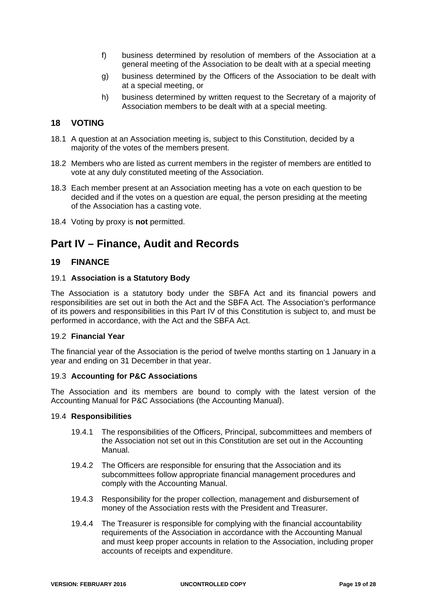- f) business determined by resolution of members of the Association at a general meeting of the Association to be dealt with at a special meeting
- g) business determined by the Officers of the Association to be dealt with at a special meeting, or
- h) business determined by written request to the Secretary of a majority of Association members to be dealt with at a special meeting.

### **18 VOTING**

- 18.1 A question at an Association meeting is, subject to this Constitution, decided by a majority of the votes of the members present.
- 18.2 Members who are listed as current members in the register of members are entitled to vote at any duly constituted meeting of the Association.
- 18.3 Each member present at an Association meeting has a vote on each question to be decided and if the votes on a question are equal, the person presiding at the meeting of the Association has a casting vote.
- 18.4 Voting by proxy is **not** permitted.

## **Part IV – Finance, Audit and Records**

### **19 FINANCE**

#### 19.1 **Association is a Statutory Body**

The Association is a statutory body under the SBFA Act and its financial powers and responsibilities are set out in both the Act and the SBFA Act. The Association's performance of its powers and responsibilities in this Part IV of this Constitution is subject to, and must be performed in accordance, with the Act and the SBFA Act.

#### 19.2 **Financial Year**

The financial year of the Association is the period of twelve months starting on 1 January in a year and ending on 31 December in that year.

#### 19.3 **Accounting for P&C Associations**

The Association and its members are bound to comply with the latest version of the Accounting Manual for P&C Associations (the Accounting Manual).

#### 19.4 **Responsibilities**

- 19.4.1 The responsibilities of the Officers, Principal, subcommittees and members of the Association not set out in this Constitution are set out in the Accounting Manual.
- 19.4.2 The Officers are responsible for ensuring that the Association and its subcommittees follow appropriate financial management procedures and comply with the Accounting Manual.
- 19.4.3 Responsibility for the proper collection, management and disbursement of money of the Association rests with the President and Treasurer.
- 19.4.4 The Treasurer is responsible for complying with the financial accountability requirements of the Association in accordance with the Accounting Manual and must keep proper accounts in relation to the Association, including proper accounts of receipts and expenditure.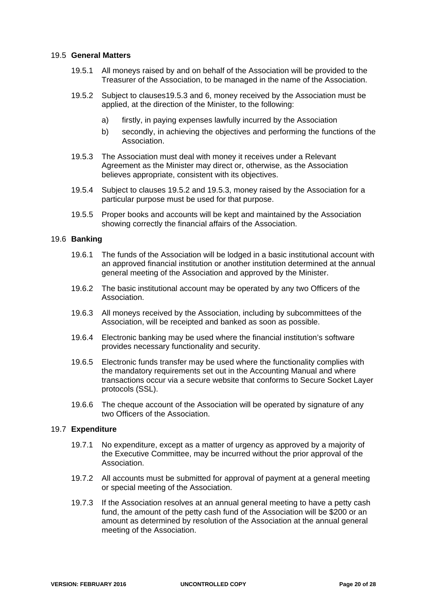#### 19.5 **General Matters**

- 19.5.1 All moneys raised by and on behalf of the Association will be provided to the Treasurer of the Association, to be managed in the name of the Association.
- 19.5.2 Subject to clauses19.5.3 and 6, money received by the Association must be applied, at the direction of the Minister, to the following:
	- a) firstly, in paying expenses lawfully incurred by the Association
	- b) secondly, in achieving the objectives and performing the functions of the Association.
- 19.5.3 The Association must deal with money it receives under a Relevant Agreement as the Minister may direct or, otherwise, as the Association believes appropriate, consistent with its objectives.
- 19.5.4 Subject to clauses 19.5.2 and 19.5.3, money raised by the Association for a particular purpose must be used for that purpose.
- 19.5.5 Proper books and accounts will be kept and maintained by the Association showing correctly the financial affairs of the Association.

#### 19.6 **Banking**

- 19.6.1 The funds of the Association will be lodged in a basic institutional account with an approved financial institution or another institution determined at the annual general meeting of the Association and approved by the Minister.
- 19.6.2 The basic institutional account may be operated by any two Officers of the Association.
- 19.6.3 All moneys received by the Association, including by subcommittees of the Association, will be receipted and banked as soon as possible.
- 19.6.4 Electronic banking may be used where the financial institution's software provides necessary functionality and security.
- 19.6.5 Electronic funds transfer may be used where the functionality complies with the mandatory requirements set out in the Accounting Manual and where transactions occur via a secure website that conforms to Secure Socket Layer protocols (SSL).
- 19.6.6 The cheque account of the Association will be operated by signature of any two Officers of the Association.

#### 19.7 **Expenditure**

- 19.7.1 No expenditure, except as a matter of urgency as approved by a majority of the Executive Committee, may be incurred without the prior approval of the Association.
- 19.7.2 All accounts must be submitted for approval of payment at a general meeting or special meeting of the Association.
- 19.7.3 If the Association resolves at an annual general meeting to have a petty cash fund, the amount of the petty cash fund of the Association will be \$200 or an amount as determined by resolution of the Association at the annual general meeting of the Association.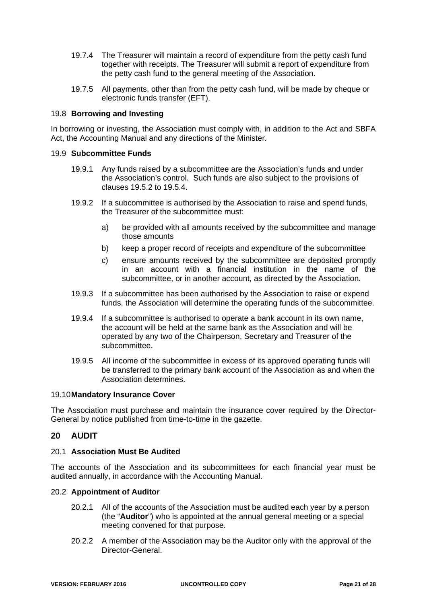- 19.7.4 The Treasurer will maintain a record of expenditure from the petty cash fund together with receipts. The Treasurer will submit a report of expenditure from the petty cash fund to the general meeting of the Association.
- 19.7.5 All payments, other than from the petty cash fund, will be made by cheque or electronic funds transfer (EFT).

#### 19.8 **Borrowing and Investing**

In borrowing or investing, the Association must comply with, in addition to the Act and SBFA Act, the Accounting Manual and any directions of the Minister.

#### 19.9 **Subcommittee Funds**

- 19.9.1 Any funds raised by a subcommittee are the Association's funds and under the Association's control. Such funds are also subject to the provisions of clauses 19.5.2 to 19.5.4.
- 19.9.2 If a subcommittee is authorised by the Association to raise and spend funds, the Treasurer of the subcommittee must:
	- a) be provided with all amounts received by the subcommittee and manage those amounts
	- b) keep a proper record of receipts and expenditure of the subcommittee
	- c) ensure amounts received by the subcommittee are deposited promptly in an account with a financial institution in the name of the subcommittee, or in another account, as directed by the Association.
- 19.9.3 If a subcommittee has been authorised by the Association to raise or expend funds, the Association will determine the operating funds of the subcommittee.
- 19.9.4 If a subcommittee is authorised to operate a bank account in its own name, the account will be held at the same bank as the Association and will be operated by any two of the Chairperson, Secretary and Treasurer of the subcommittee.
- 19.9.5 All income of the subcommittee in excess of its approved operating funds will be transferred to the primary bank account of the Association as and when the Association determines.

#### 19.10 **Mandatory Insurance Cover**

The Association must purchase and maintain the insurance cover required by the Director-General by notice published from time-to-time in the gazette.

#### **20 AUDIT**

#### 20.1 **Association Must Be Audited**

The accounts of the Association and its subcommittees for each financial year must be audited annually, in accordance with the Accounting Manual.

#### 20.2 **Appointment of Auditor**

- 20.2.1 All of the accounts of the Association must be audited each year by a person (the "**Auditor**") who is appointed at the annual general meeting or a special meeting convened for that purpose.
- 20.2.2 A member of the Association may be the Auditor only with the approval of the Director-General.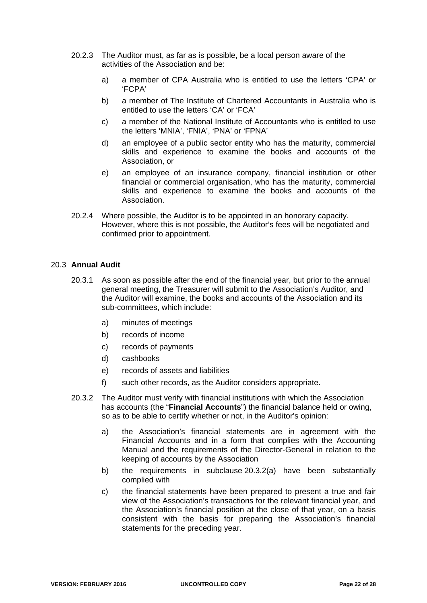- 20.2.3 The Auditor must, as far as is possible, be a local person aware of the activities of the Association and be:
	- a) a member of CPA Australia who is entitled to use the letters 'CPA' or 'FCPA'
	- b) a member of The Institute of Chartered Accountants in Australia who is entitled to use the letters 'CA' or 'FCA'
	- c) a member of the National Institute of Accountants who is entitled to use the letters 'MNIA', 'FNIA', 'PNA' or 'FPNA'
	- d) an employee of a public sector entity who has the maturity, commercial skills and experience to examine the books and accounts of the Association, or
	- e) an employee of an insurance company, financial institution or other financial or commercial organisation, who has the maturity, commercial skills and experience to examine the books and accounts of the Association.
- 20.2.4 Where possible, the Auditor is to be appointed in an honorary capacity. However, where this is not possible, the Auditor's fees will be negotiated and confirmed prior to appointment.

#### 20.3 **Annual Audit**

- 20.3.1 As soon as possible after the end of the financial year, but prior to the annual general meeting, the Treasurer will submit to the Association's Auditor, and the Auditor will examine, the books and accounts of the Association and its sub-committees, which include:
	- a) minutes of meetings
	- b) records of income
	- c) records of payments
	- d) cashbooks
	- e) records of assets and liabilities
	- f) such other records, as the Auditor considers appropriate.
- 20.3.2 The Auditor must verify with financial institutions with which the Association has accounts (the "**Financial Accounts**") the financial balance held or owing, so as to be able to certify whether or not, in the Auditor's opinion:
	- a) the Association's financial statements are in agreement with the Financial Accounts and in a form that complies with the Accounting Manual and the requirements of the Director-General in relation to the keeping of accounts by the Association
	- b) the requirements in subclause 20.3.2(a) have been substantially complied with
	- c) the financial statements have been prepared to present a true and fair view of the Association's transactions for the relevant financial year, and the Association's financial position at the close of that year, on a basis consistent with the basis for preparing the Association's financial statements for the preceding year.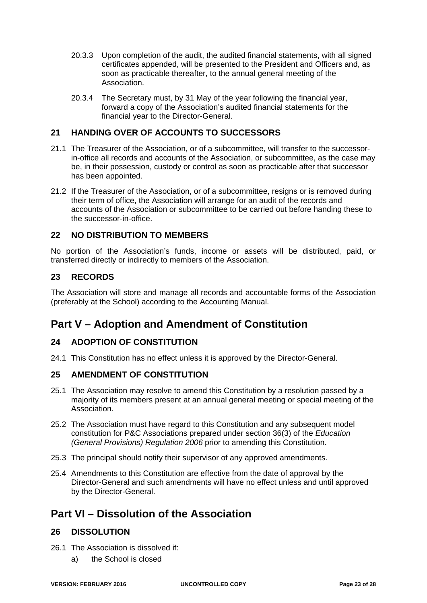- 20.3.3 Upon completion of the audit, the audited financial statements, with all signed certificates appended, will be presented to the President and Officers and, as soon as practicable thereafter, to the annual general meeting of the Association.
- 20.3.4 The Secretary must, by 31 May of the year following the financial year, forward a copy of the Association's audited financial statements for the financial year to the Director-General.

## **21 HANDING OVER OF ACCOUNTS TO SUCCESSORS**

- 21.1 The Treasurer of the Association, or of a subcommittee, will transfer to the successorin-office all records and accounts of the Association, or subcommittee, as the case may be, in their possession, custody or control as soon as practicable after that successor has been appointed.
- 21.2 If the Treasurer of the Association, or of a subcommittee, resigns or is removed during their term of office, the Association will arrange for an audit of the records and accounts of the Association or subcommittee to be carried out before handing these to the successor-in-office.

## **22 NO DISTRIBUTION TO MEMBERS**

No portion of the Association's funds, income or assets will be distributed, paid, or transferred directly or indirectly to members of the Association.

### **23 RECORDS**

The Association will store and manage all records and accountable forms of the Association (preferably at the School) according to the Accounting Manual.

## **Part V – Adoption and Amendment of Constitution**

## **24 ADOPTION OF CONSTITUTION**

24.1 This Constitution has no effect unless it is approved by the Director-General.

## **25 AMENDMENT OF CONSTITUTION**

- 25.1 The Association may resolve to amend this Constitution by a resolution passed by a majority of its members present at an annual general meeting or special meeting of the Association.
- 25.2 The Association must have regard to this Constitution and any subsequent model constitution for P&C Associations prepared under section 36(3) of the *Education (General Provisions) Regulation 2006* prior to amending this Constitution.
- 25.3 The principal should notify their supervisor of any approved amendments.
- 25.4 Amendments to this Constitution are effective from the date of approval by the Director-General and such amendments will have no effect unless and until approved by the Director-General.

## **Part VI – Dissolution of the Association**

#### **26 DISSOLUTION**

- 26.1 The Association is dissolved if:
	- a) the School is closed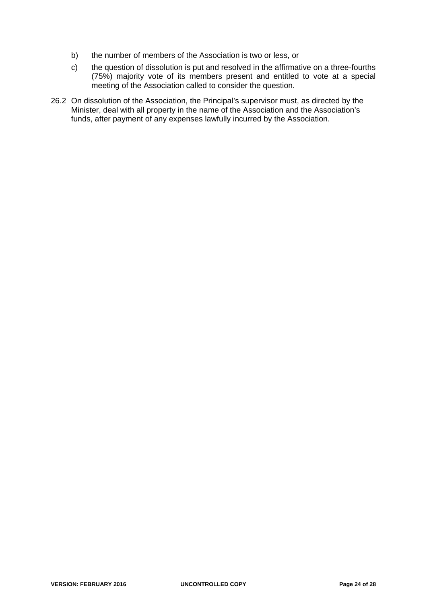- b) the number of members of the Association is two or less, or
- c) the question of dissolution is put and resolved in the affirmative on a three-fourths (75%) majority vote of its members present and entitled to vote at a special meeting of the Association called to consider the question.
- 26.2 On dissolution of the Association, the Principal's supervisor must, as directed by the Minister, deal with all property in the name of the Association and the Association's funds, after payment of any expenses lawfully incurred by the Association.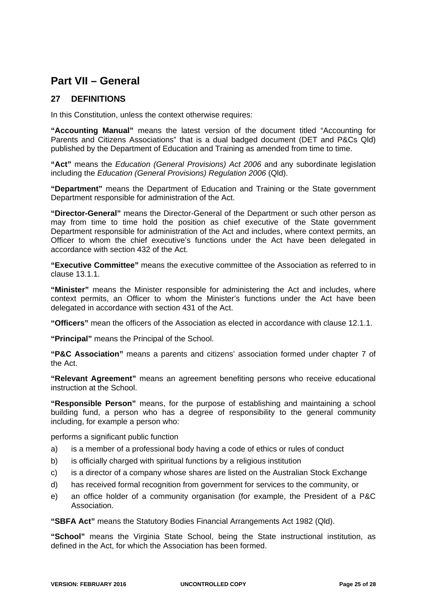## **Part VII – General**

## **27 DEFINITIONS**

In this Constitution, unless the context otherwise requires:

**"Accounting Manual"** means the latest version of the document titled "Accounting for Parents and Citizens Associations" that is a dual badged document (DET and P&Cs Qld) published by the Department of Education and Training as amended from time to time.

**"Act"** means the *Education (General Provisions) Act 2006* and any subordinate legislation including the *Education (General Provisions) Regulation 2006* (Qld).

**"Department"** means the Department of Education and Training or the State government Department responsible for administration of the Act.

**"Director-General"** means the Director-General of the Department or such other person as may from time to time hold the position as chief executive of the State government Department responsible for administration of the Act and includes, where context permits, an Officer to whom the chief executive's functions under the Act have been delegated in accordance with section 432 of the Act.

**"Executive Committee"** means the executive committee of the Association as referred to in clause 13.1.1.

**"Minister"** means the Minister responsible for administering the Act and includes, where context permits, an Officer to whom the Minister's functions under the Act have been delegated in accordance with section 431 of the Act.

**"Officers"** mean the officers of the Association as elected in accordance with clause 12.1.1.

**"Principal"** means the Principal of the School.

**"P&C Association"** means a parents and citizens' association formed under chapter 7 of the Act.

**"Relevant Agreement"** means an agreement benefiting persons who receive educational instruction at the School.

**"Responsible Person"** means, for the purpose of establishing and maintaining a school building fund, a person who has a degree of responsibility to the general community including, for example a person who:

performs a significant public function

- a) is a member of a professional body having a code of ethics or rules of conduct
- b) is officially charged with spiritual functions by a religious institution
- c) is a director of a company whose shares are listed on the Australian Stock Exchange
- d) has received formal recognition from government for services to the community, or
- e) an office holder of a community organisation (for example, the President of a P&C Association.

**"SBFA Act"** means the Statutory Bodies Financial Arrangements Act 1982 (Qld).

**"School"** means the Virginia State School, being the State instructional institution, as defined in the Act, for which the Association has been formed.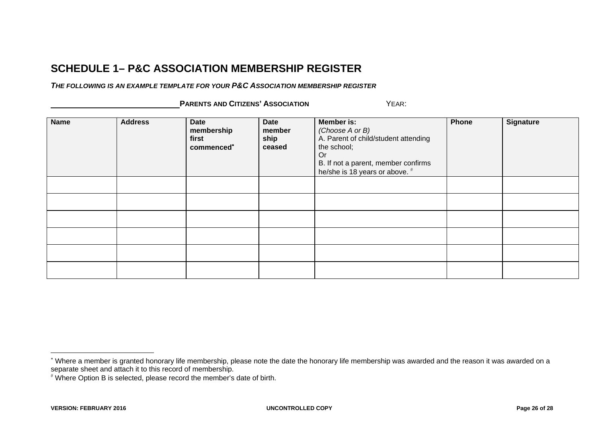## **SCHEDULE 1– P&C ASSOCIATION MEMBERSHIP REGISTER**

*THE FOLLOWING IS AN EXAMPLE TEMPLATE FOR YOUR P&C ASSOCIATION MEMBERSHIP REGISTER*

 **PARENTS AND CITIZENS' ASSOCIATION** YEAR:

| <b>Name</b> | <b>Address</b> | Date<br>membership<br>first<br>commenced <sup>*</sup> | <b>Date</b><br>member<br>ship<br>ceased | Member is:<br>(Choose A or B)<br>A. Parent of child/student attending<br>the school;<br>Or<br>B. If not a parent, member confirms<br>he/she is 18 years or above. # | Phone | <b>Signature</b> |
|-------------|----------------|-------------------------------------------------------|-----------------------------------------|---------------------------------------------------------------------------------------------------------------------------------------------------------------------|-------|------------------|
|             |                |                                                       |                                         |                                                                                                                                                                     |       |                  |
|             |                |                                                       |                                         |                                                                                                                                                                     |       |                  |
|             |                |                                                       |                                         |                                                                                                                                                                     |       |                  |
|             |                |                                                       |                                         |                                                                                                                                                                     |       |                  |
|             |                |                                                       |                                         |                                                                                                                                                                     |       |                  |
|             |                |                                                       |                                         |                                                                                                                                                                     |       |                  |

<sup>∗</sup> Where a member is granted honorary life membership, please note the date the honorary life membership was awarded and the reason it was awarded on a separate sheet and attach it to this record of membership.

<sup>#</sup> Where Option B is selected, please record the member's date of birth.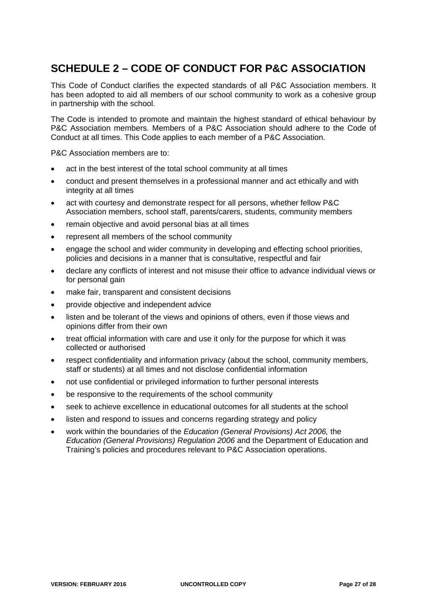# **SCHEDULE 2 – CODE OF CONDUCT FOR P&C ASSOCIATION**

This Code of Conduct clarifies the expected standards of all P&C Association members. It has been adopted to aid all members of our school community to work as a cohesive group in partnership with the school.

The Code is intended to promote and maintain the highest standard of ethical behaviour by P&C Association members. Members of a P&C Association should adhere to the Code of Conduct at all times. This Code applies to each member of a P&C Association.

P&C Association members are to:

- act in the best interest of the total school community at all times
- conduct and present themselves in a professional manner and act ethically and with integrity at all times
- act with courtesy and demonstrate respect for all persons, whether fellow P&C Association members, school staff, parents/carers, students, community members
- remain objective and avoid personal bias at all times
- represent all members of the school community
- engage the school and wider community in developing and effecting school priorities, policies and decisions in a manner that is consultative, respectful and fair
- declare any conflicts of interest and not misuse their office to advance individual views or for personal gain
- make fair, transparent and consistent decisions
- provide objective and independent advice
- listen and be tolerant of the views and opinions of others, even if those views and opinions differ from their own
- treat official information with care and use it only for the purpose for which it was collected or authorised
- respect confidentiality and information privacy (about the school, community members, staff or students) at all times and not disclose confidential information
- not use confidential or privileged information to further personal interests
- be responsive to the requirements of the school community
- seek to achieve excellence in educational outcomes for all students at the school
- listen and respond to issues and concerns regarding strategy and policy
- work within the boundaries of the *Education (General Provisions) Act 2006,* the *Education (General Provisions) Regulation 2006* and the Department of Education and Training's policies and procedures relevant to P&C Association operations.